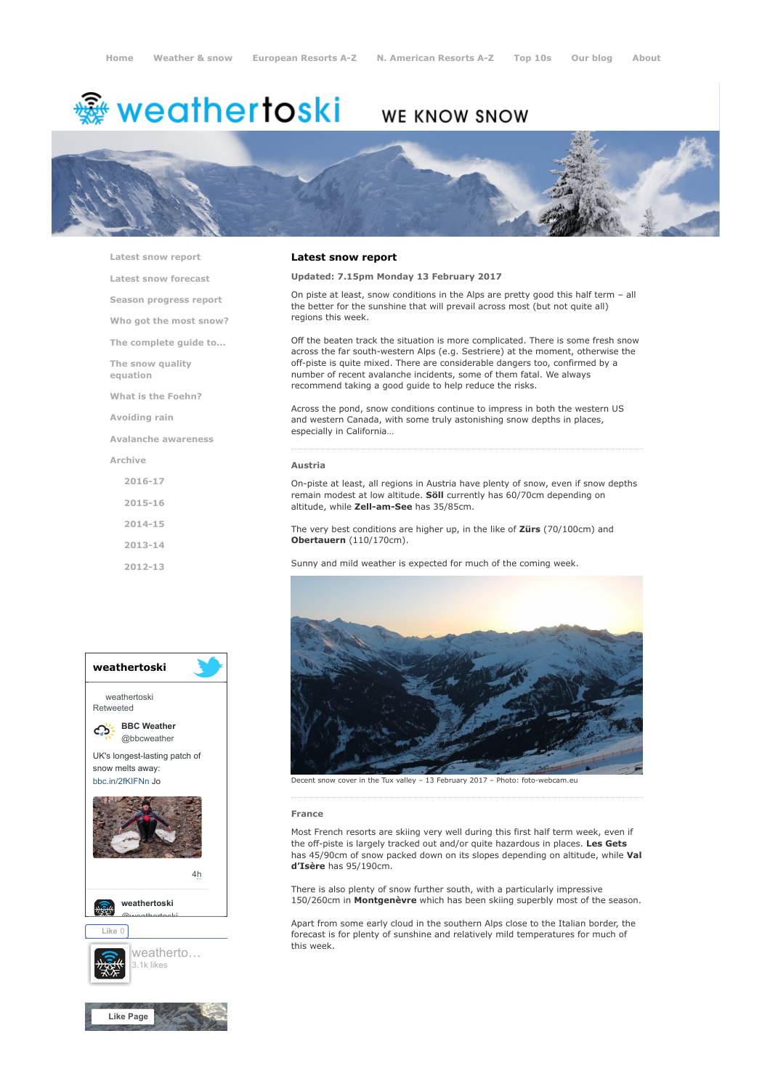# <del>鑾</del> weathertoski

# WE KNOW SNOW



[Latest snow report](https://www.weathertoski.co.uk/weather-snow/latest-snow-report/)

[Latest snow forecast](https://www.weathertoski.co.uk/weather-snow/latest-snow-forecast/)

[Season progress report](https://www.weathertoski.co.uk/weather-snow/season-progress-report/)

[Who got the most snow?](https://www.weathertoski.co.uk/weather-snow/who-got-the-most-snow/)

[The complete guide to...](https://www.weathertoski.co.uk/weather-snow/the-complete-guide-to/)

[The snow quality](https://www.weathertoski.co.uk/weather-snow/the-snow-quality-equation/)

[What is the Foehn?](https://www.weathertoski.co.uk/weather-snow/what-is-the-foehn/)

[Avoiding rain](https://www.weathertoski.co.uk/weather-snow/avoiding-rain/)

equation

[Avalanche awareness](https://www.weathertoski.co.uk/weather-snow/avalanche-awareness/)

[Archive](https://www.weathertoski.co.uk/weather-snow/archive/)

- [2016-17](https://www.weathertoski.co.uk/weather-snow/archive/2016-17/) [2015-16](https://www.weathertoski.co.uk/weather-snow/archive/2015-16/)
- [2014-15](https://www.weathertoski.co.uk/weather-snow/archive/2014-15/)
- [2013-14](https://www.weathertoski.co.uk/weather-snow/archive/2013-14/)
- [2012-13](https://www.weathertoski.co.uk/weather-snow/archive/2012-13/)

#### Latest snow report

## Updated: 7.15pm Monday 13 February 2017

On piste at least, snow conditions in the Alps are pretty good this half term – all the better for the sunshine that will prevail across most (but not quite all) regions this week.

Off the beaten track the situation is more complicated. There is some fresh snow across the far south-western Alps (e.g. Sestriere) at the moment, otherwise the off-piste is quite mixed. There are considerable dangers too, confirmed by a number of recent avalanche incidents, some of them fatal. We always recommend taking a good guide to help reduce the risks.

Across the pond, snow conditions continue to impress in both the western US and western Canada, with some truly astonishing snow depths in places, especially in California…

#### Austria

On-piste at least, all regions in Austria have plenty of snow, even if snow depths remain modest at low altitude. **Söll** currently has 60/70cm depending on altitude, while Zell-am-See has 35/85cm.

The very best conditions are higher up, in the like of Zürs (70/100cm) and Obertauern (110/170cm).

Sunny and mild weather is expected for much of the coming week.



Decent snow cover in the Tux valley – 13 February 2017 – Photo: foto-webcam.eu

#### France

Most French resorts are skiing very well during this first half term week, even if the off-piste is largely tracked out and/or quite hazardous in places. Les Gets has 45/90cm of snow packed down on its slopes depending on altitude, while Val d'Isère has 95/190cm.

There is also plenty of snow further south, with a particularly impressive 150/260cm in Montgenèvre which has been skiing superbly most of the season.

Apart from some early cloud in the southern Alps close to the Italian border, the forecast is for plenty of sunshine and relatively mild temperatures for much of this week.

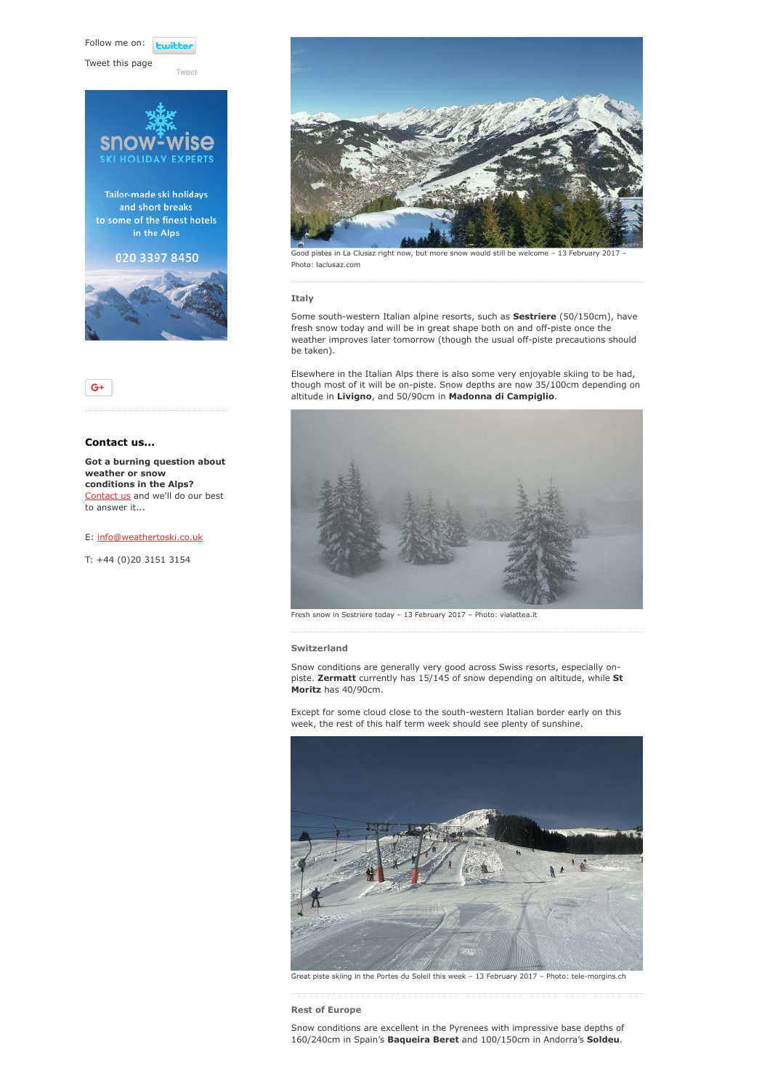Follow me on: *<u>twitte</u>* 

[Tweet](https://twitter.com/intent/tweet?original_referer=https%3A%2F%2Fwww.weathertoski.co.uk%2Fweather-snow%2Farchive%2Fsnow-report-13-02-2017%2F&ref_src=twsrc%5Etfw&text=Weather%20to%20ski%20-%20Snow%20report%20-%2013%20February%202017&tw_p=tweetbutton&url=https%3A%2F%2Fwww.weathertoski.co.uk%2Fweather-snow%2Farchive%2Fsnow-report-13-02-2017%2F)

Tweet this page





# Contact us...

Got a burning question about weather or snow conditions in the Alps? [Contact us](https://www.weathertoski.co.uk/about-1/contact-us/) and we'll do our best to answer it...

### E: [info@weathertoski.co.uk](mailto:fraser@weathertoski.co.uk)

T: +44 (0)20 3151 3154



od pistes in La Clusaz right now, but more snow would still be welcome – 13 February 2017 Photo: laclusaz.com

#### Italy

Some south-western Italian alpine resorts, such as **Sestriere** (50/150cm), have fresh snow today and will be in great shape both on and off-piste once the weather improves later tomorrow (though the usual off-piste precautions should be taken).

Elsewhere in the Italian Alps there is also some very enjoyable skiing to be had, though most of it will be on-piste. Snow depths are now 35/100cm depending on altitude in Livigno, and 50/90cm in Madonna di Campiglio.



Fresh snow in Sestriere today – 13 February 2017 – Photo: vialattea.it

#### Switzerland

Snow conditions are generally very good across Swiss resorts, especially onpiste. Zermatt currently has 15/145 of snow depending on altitude, while St Moritz has 40/90cm.

Except for some cloud close to the south-western Italian border early on this week, the rest of this half term week should see plenty of sunshine.



Great piste skiing in the Portes du Soleil this week – 13 February 2017 – Photo: tele-morgins.ch

Rest of Europe

Snow conditions are excellent in the Pyrenees with impressive base depths of 160/240cm in Spain's Baqueira Beret and 100/150cm in Andorra's Soldeu.